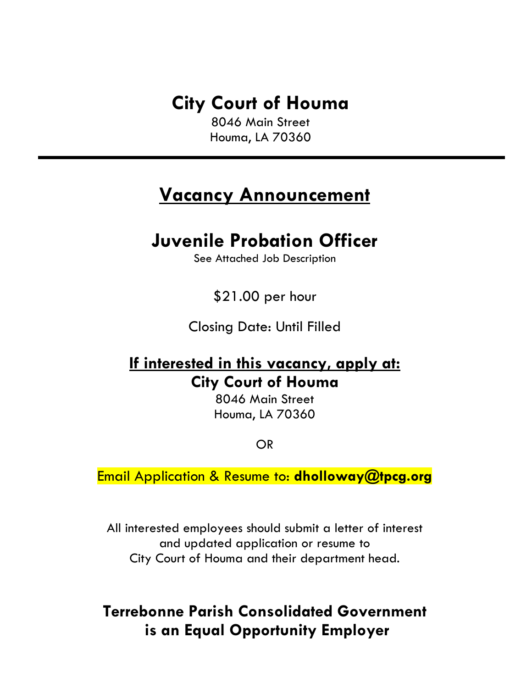# **City Court of Houma**

8046 Main Street Houma, LA 70360

## **Vacancy Announcement**

## **Juvenile Probation Officer**

See Attached Job Description

\$21.00 per hour

Closing Date: Until Filled

### **If interested in this vacancy, apply at: City Court of Houma**

8046 Main Street Houma, LA 70360

OR

Email Application & Resume to: **dholloway@tpcg.org**

All interested employees should submit a letter of interest and updated application or resume to City Court of Houma and their department head.

### **Terrebonne Parish Consolidated Government is an Equal Opportunity Employer**